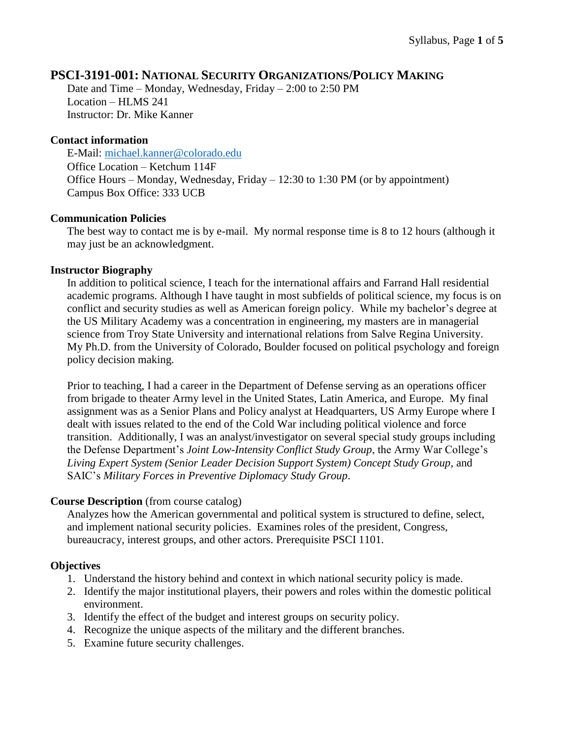# **PSCI-3191-001: NATIONAL SECURITY ORGANIZATIONS/POLICY MAKING**

Date and Time – Monday, Wednesday, Friday – 2:00 to 2:50 PM Location – HLMS 241 Instructor: Dr. Mike Kanner

## **Contact information**

E-Mail: [michael.kanner@colorado.edu](mailto:michael.kanner@colorado.edu) Office Location – Ketchum 114F Office Hours – Monday, Wednesday, Friday – 12:30 to 1:30 PM (or by appointment) Campus Box Office: 333 UCB

## **Communication Policies**

The best way to contact me is by e-mail. My normal response time is 8 to 12 hours (although it may just be an acknowledgment.

## **Instructor Biography**

In addition to political science, I teach for the international affairs and Farrand Hall residential academic programs. Although I have taught in most subfields of political science, my focus is on conflict and security studies as well as American foreign policy. While my bachelor's degree at the US Military Academy was a concentration in engineering, my masters are in managerial science from Troy State University and international relations from Salve Regina University. My Ph.D. from the University of Colorado, Boulder focused on political psychology and foreign policy decision making.

Prior to teaching, I had a career in the Department of Defense serving as an operations officer from brigade to theater Army level in the United States, Latin America, and Europe. My final assignment was as a Senior Plans and Policy analyst at Headquarters, US Army Europe where I dealt with issues related to the end of the Cold War including political violence and force transition. Additionally, I was an analyst/investigator on several special study groups including the Defense Department's *Joint Low-Intensity Conflict Study Group*, the Army War College's *Living Expert System (Senior Leader Decision Support System) Concept Study Group*, and SAIC's *Military Forces in Preventive Diplomacy Study Group*.

## **Course Description** (from course catalog)

Analyzes how the American governmental and political system is structured to define, select, and implement national security policies. Examines roles of the president, Congress, bureaucracy, interest groups, and other actors. Prerequisite PSCI 1101.

## **Objectives**

- 1. Understand the history behind and context in which national security policy is made.
- 2. Identify the major institutional players, their powers and roles within the domestic political environment.
- 3. Identify the effect of the budget and interest groups on security policy.
- 4. Recognize the unique aspects of the military and the different branches.
- 5. Examine future security challenges.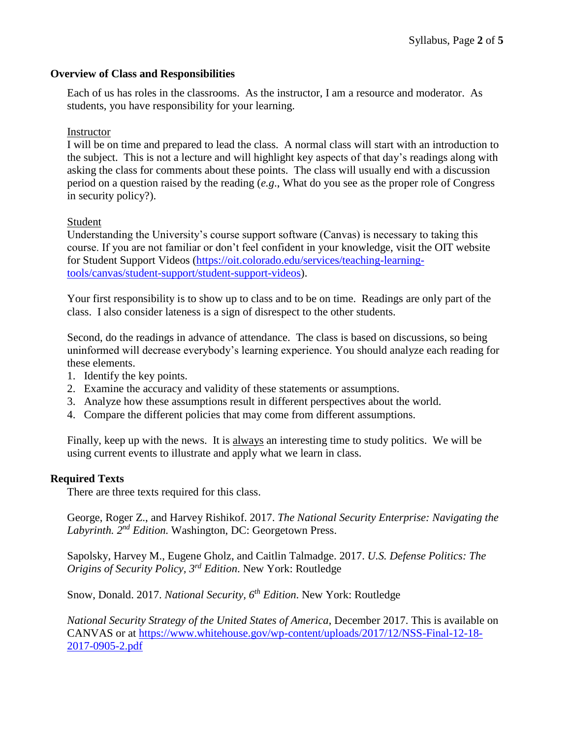# **Overview of Class and Responsibilities**

Each of us has roles in the classrooms. As the instructor, I am a resource and moderator. As students, you have responsibility for your learning.

# Instructor

I will be on time and prepared to lead the class. A normal class will start with an introduction to the subject. This is not a lecture and will highlight key aspects of that day's readings along with asking the class for comments about these points. The class will usually end with a discussion period on a question raised by the reading (*e.g*., What do you see as the proper role of Congress in security policy?).

# Student

Understanding the University's course support software (Canvas) is necessary to taking this course. If you are not familiar or don't feel confident in your knowledge, visit the OIT website for Student Support Videos [\(https://oit.colorado.edu/services/teaching-learning](https://oit.colorado.edu/services/teaching-learning-tools/canvas/student-support/student-support-videos)[tools/canvas/student-support/student-support-videos\)](https://oit.colorado.edu/services/teaching-learning-tools/canvas/student-support/student-support-videos).

Your first responsibility is to show up to class and to be on time. Readings are only part of the class. I also consider lateness is a sign of disrespect to the other students.

Second, do the readings in advance of attendance. The class is based on discussions, so being uninformed will decrease everybody's learning experience. You should analyze each reading for these elements.

- 1. Identify the key points.
- 2. Examine the accuracy and validity of these statements or assumptions.
- 3. Analyze how these assumptions result in different perspectives about the world.
- 4. Compare the different policies that may come from different assumptions.

Finally, keep up with the news. It is always an interesting time to study politics. We will be using current events to illustrate and apply what we learn in class.

## **Required Texts**

There are three texts required for this class.

George, Roger Z., and Harvey Rishikof. 2017. *The National Security Enterprise: Navigating the*  Labyrinth. 2<sup>nd</sup> Edition. Washington, DC: Georgetown Press.

Sapolsky, Harvey M., Eugene Gholz, and Caitlin Talmadge. 2017. *U.S. Defense Politics: The Origins of Security Policy, 3rd Edition*. New York: Routledge

Snow, Donald. 2017. *National Security, 6th Edition*. New York: Routledge

*National Security Strategy of the United States of America*, December 2017. This is available on CANVAS or at [https://www.whitehouse.gov/wp-content/uploads/2017/12/NSS-Final-12-18-](https://www.whitehouse.gov/wp-content/uploads/2017/12/NSS-Final-12-18-2017-0905-2.pdf) [2017-0905-2.pdf](https://www.whitehouse.gov/wp-content/uploads/2017/12/NSS-Final-12-18-2017-0905-2.pdf)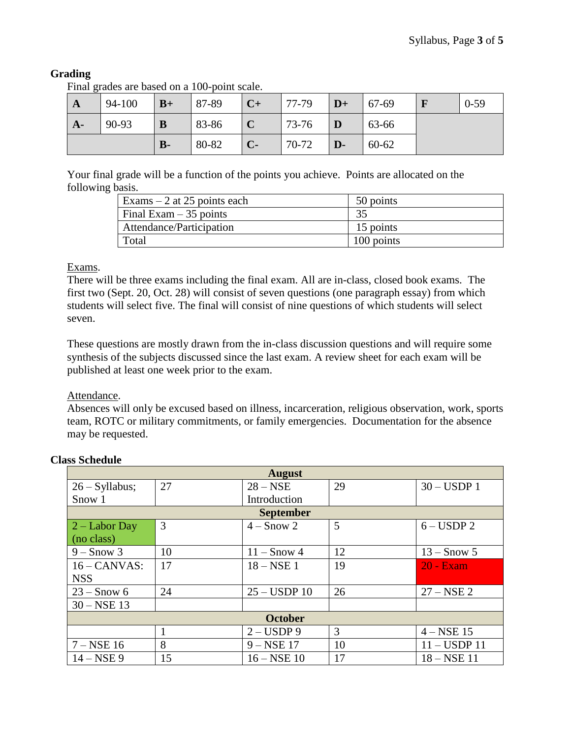# **Grading**

Final grades are based on a 100-point scale.

| $\mathbf{A}$ | 94-100 | $B+$  | 87-89 | $C+$ | 77-79 | $D+$         | 67-69     | $0-59$ |
|--------------|--------|-------|-------|------|-------|--------------|-----------|--------|
| $A-$         | 90-93  | B     | 83-86 |      | 73-76 | D            | 63-66     |        |
|              |        | $B -$ | 80-82 | $C-$ | 70-72 | $\mathbf{D}$ | $60 - 62$ |        |

Your final grade will be a function of the points you achieve. Points are allocated on the following basis.

| Exams $-2$ at 25 points each | 50 points  |
|------------------------------|------------|
| Final Exam $-35$ points      | 35         |
| Attendance/Participation     | 15 points  |
| Total                        | 100 points |

# Exams.

There will be three exams including the final exam. All are in-class, closed book exams. The first two (Sept. 20, Oct. 28) will consist of seven questions (one paragraph essay) from which students will select five. The final will consist of nine questions of which students will select seven.

These questions are mostly drawn from the in-class discussion questions and will require some synthesis of the subjects discussed since the last exam. A review sheet for each exam will be published at least one week prior to the exam.

Attendance.

Absences will only be excused based on illness, incarceration, religious observation, work, sports team, ROTC or military commitments, or family emergencies. Documentation for the absence may be requested.

| <b>August</b>       |    |                      |    |                      |  |  |
|---------------------|----|----------------------|----|----------------------|--|--|
| $26 - Syllabus;$    | 27 | $28 - \text{NSE}$    | 29 | $30 - USDP1$         |  |  |
| Snow 1              |    | Introduction         |    |                      |  |  |
| <b>September</b>    |    |                      |    |                      |  |  |
| $2 -$ Labor Day     | 3  | $4 -$ Snow 2         | 5  | $6 - \text{USDP} 2$  |  |  |
| (no class)          |    |                      |    |                      |  |  |
| $9 -$ Snow 3        | 10 | $11 -$ Snow 4        | 12 | $13 -$ Snow 5        |  |  |
| $16 - CANVAS$       | 17 | $18 - NSE$ 1         | 19 | <b>20 - Exam</b>     |  |  |
| <b>NSS</b>          |    |                      |    |                      |  |  |
| $23 -$ Snow 6       | 24 | $25 - USDP$ 10       | 26 | $27 - \text{NSE} 2$  |  |  |
| $30 - NSE$ 13       |    |                      |    |                      |  |  |
| <b>October</b>      |    |                      |    |                      |  |  |
|                     |    | $2 - USDP9$          | 3  | $4 - NSE$ 15         |  |  |
| $7 - \text{NSE} 16$ | 8  | $9 - NSE$ 17         | 10 | $11 -$ USDP $11$     |  |  |
| $14 - \text{NSE} 9$ | 15 | $16 - \text{NSE} 10$ | 17 | $18 - \text{NSE} 11$ |  |  |

## **Class Schedule**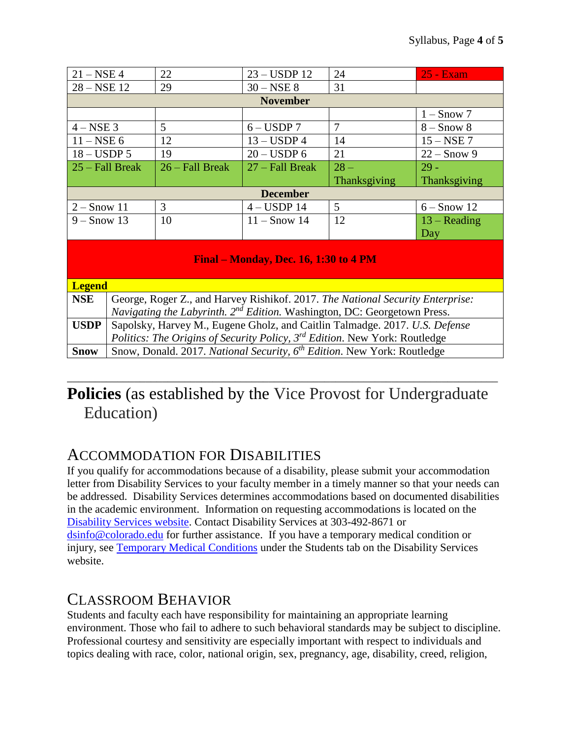| $21 - NSE$ 4                                 |                                                                                              | 22                | $23 - USDP$ 12      | 24                  | 25 - Exam      |  |  |
|----------------------------------------------|----------------------------------------------------------------------------------------------|-------------------|---------------------|---------------------|----------------|--|--|
| $28 - NSE$ 12                                |                                                                                              | 29                | $30 - NSE$ 8        | 31                  |                |  |  |
| <b>November</b>                              |                                                                                              |                   |                     |                     |                |  |  |
|                                              |                                                                                              |                   |                     |                     | $1 -$ Snow 7   |  |  |
| $4 - NSE$ 3                                  |                                                                                              | 5                 | $6 - \text{USDP} 7$ | $\overline{7}$      | $8 -$ Snow $8$ |  |  |
| $11 - NSE$ 6                                 |                                                                                              | 12                | $13 - USDP4$        | 14                  | $15 - NSE$ 7   |  |  |
| $18 - \text{USDP } 5$                        |                                                                                              | 19                | $20 - USDP$ 6       | 21                  | $22 -$ Snow 9  |  |  |
| 25 – Fall Break                              |                                                                                              | $26 - Fall Break$ | 27 – Fall Break     | $28 -$              | $29 -$         |  |  |
|                                              |                                                                                              |                   |                     | <b>Thanksgiving</b> | Thanksgiving   |  |  |
| <b>December</b>                              |                                                                                              |                   |                     |                     |                |  |  |
| $2 -$ Snow 11                                |                                                                                              | 3                 | $4 - USDP$ 14       | $\mathfrak{S}$      | $6 -$ Snow 12  |  |  |
| $9 -$ Snow 13                                |                                                                                              | 10                | $11 -$ Snow 14      | 12                  | $13 - Reading$ |  |  |
|                                              |                                                                                              |                   |                     |                     | Day            |  |  |
| <b>Final – Monday, Dec. 16, 1:30 to 4 PM</b> |                                                                                              |                   |                     |                     |                |  |  |
| <b>Legend</b>                                |                                                                                              |                   |                     |                     |                |  |  |
| <b>NSE</b>                                   | George, Roger Z., and Harvey Rishikof. 2017. The National Security Enterprise:               |                   |                     |                     |                |  |  |
|                                              | Navigating the Labyrinth. 2 <sup>nd</sup> Edition. Washington, DC: Georgetown Press.         |                   |                     |                     |                |  |  |
| <b>USDP</b>                                  | Sapolsky, Harvey M., Eugene Gholz, and Caitlin Talmadge. 2017. U.S. Defense                  |                   |                     |                     |                |  |  |
|                                              | <i>Politics: The Origins of Security Policy, 3<sup>rd</sup> Edition. New York: Routledge</i> |                   |                     |                     |                |  |  |
| <b>Snow</b>                                  | Snow, Donald. 2017. National Security, 6 <sup>th</sup> Edition. New York: Routledge          |                   |                     |                     |                |  |  |

# \_\_\_\_\_\_\_\_\_\_\_\_\_\_\_\_\_\_\_\_\_\_\_\_\_\_\_\_\_\_\_\_\_\_\_\_\_\_\_\_\_\_\_\_\_\_\_\_\_\_\_\_\_\_\_\_\_\_\_\_\_\_\_\_\_\_\_\_\_\_\_\_\_\_\_\_\_ **Policies** (as established by the Vice Provost for Undergraduate Education)

# ACCOMMODATION FOR DISABILITIES

If you qualify for accommodations because of a disability, please submit your accommodation letter from Disability Services to your faculty member in a timely manner so that your needs can be addressed. Disability Services determines accommodations based on documented disabilities in the academic environment. Information on requesting accommodations is located on the [Disability Services website.](http://www.colorado.edu/disabilityservices/students) Contact Disability Services at 303-492-8671 or [dsinfo@colorado.edu](mailto:dsinfo@colorado.edu) for further assistance. If you have a temporary medical condition or injury, see [Temporary Medical Conditions](http://www.colorado.edu/disabilityservices/students/temporary-medical-conditions) under the Students tab on the Disability Services website.

# CLASSROOM BEHAVIOR

Students and faculty each have responsibility for maintaining an appropriate learning environment. Those who fail to adhere to such behavioral standards may be subject to discipline. Professional courtesy and sensitivity are especially important with respect to individuals and topics dealing with race, color, national origin, sex, pregnancy, age, disability, creed, religion,